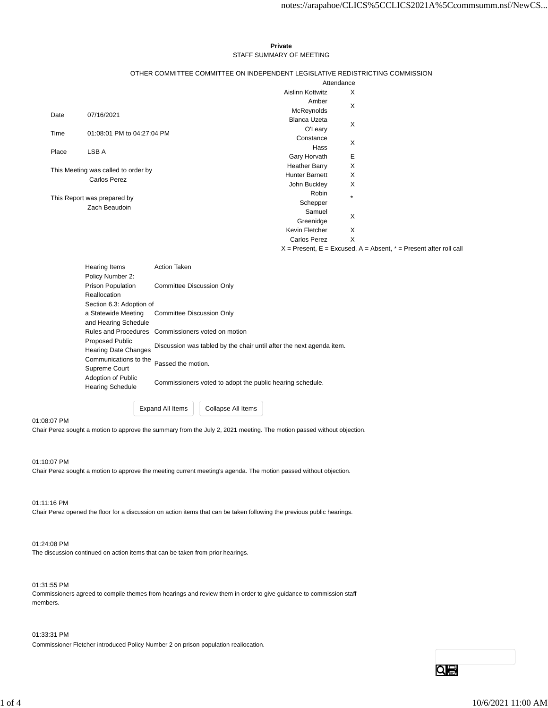#### **Private** STAFF SUMMARY OF MEETING

#### OTHER COMMITTEE COMMITTEE ON INDEPENDENT LEGISLATIVE REDISTRICTING COMMISSION

|                                              |                            | Attendance            |         |
|----------------------------------------------|----------------------------|-----------------------|---------|
|                                              |                            | Aislinn Kottwitz      | X       |
|                                              |                            | Amber                 | X       |
| Date                                         | 07/16/2021                 | McReynolds            |         |
|                                              |                            | <b>Blanca Uzeta</b>   | X       |
| Time                                         | 01:08:01 PM to 04:27:04 PM | O'Leary               |         |
|                                              |                            | Constance             | X       |
| Place                                        | LSB A                      | Hass                  |         |
|                                              |                            | Gary Horvath          | Е       |
| This Meeting was called to order by          |                            | <b>Heather Barry</b>  | X       |
|                                              |                            | <b>Hunter Barnett</b> | X       |
|                                              | <b>Carlos Perez</b>        | John Buckley          | X       |
| This Report was prepared by<br>Zach Beaudoin |                            | Robin                 | $\star$ |
|                                              |                            | Schepper              |         |
|                                              |                            | Samuel                | X       |
|                                              |                            | Greenidge             |         |
|                                              |                            | Kevin Fletcher        | X       |
|                                              |                            | <b>Carlos Perez</b>   | X       |

 $X =$  Present,  $E =$  Excused,  $A =$  Absent,  $* =$  Present after roll call

| Hearing Items            |                             | <b>Action Taken</b>                                                  |  |  |  |  |
|--------------------------|-----------------------------|----------------------------------------------------------------------|--|--|--|--|
|                          | Policy Number 2:            |                                                                      |  |  |  |  |
|                          | <b>Prison Population</b>    | <b>Committee Discussion Only</b>                                     |  |  |  |  |
|                          | Reallocation                |                                                                      |  |  |  |  |
| Section 6.3: Adoption of |                             |                                                                      |  |  |  |  |
|                          | a Statewide Meeting         | <b>Committee Discussion Only</b>                                     |  |  |  |  |
|                          | and Hearing Schedule        |                                                                      |  |  |  |  |
|                          |                             | Rules and Procedures Commissioners voted on motion                   |  |  |  |  |
|                          | <b>Proposed Public</b>      |                                                                      |  |  |  |  |
|                          | <b>Hearing Date Changes</b> | Discussion was tabled by the chair until after the next agenda item. |  |  |  |  |
|                          | Communications to the       | Passed the motion.                                                   |  |  |  |  |
|                          | Supreme Court               |                                                                      |  |  |  |  |
|                          | Adoption of Public          | Commissioners voted to adopt the public hearing schedule.            |  |  |  |  |
| <b>Hearing Schedule</b>  |                             |                                                                      |  |  |  |  |
|                          |                             |                                                                      |  |  |  |  |

Expand All Items Collapse All Items

01:08:07 PM

Chair Perez sought a motion to approve the summary from the July 2, 2021 meeting. The motion passed without objection.

01:10:07 PM

Chair Perez sought a motion to approve the meeting current meeting's agenda. The motion passed without objection.

01:11:16 PM Chair Perez opened the floor for a discussion on action items that can be taken following the previous public hearings.

01:24:08 PM

The discussion continued on action items that can be taken from prior hearings.

01:31:55 PM

Commissioners agreed to compile themes from hearings and review them in order to give guidance to commission staff members.

01:33:31 PM

Commissioner Fletcher introduced Policy Number 2 on prison population reallocation.

Qe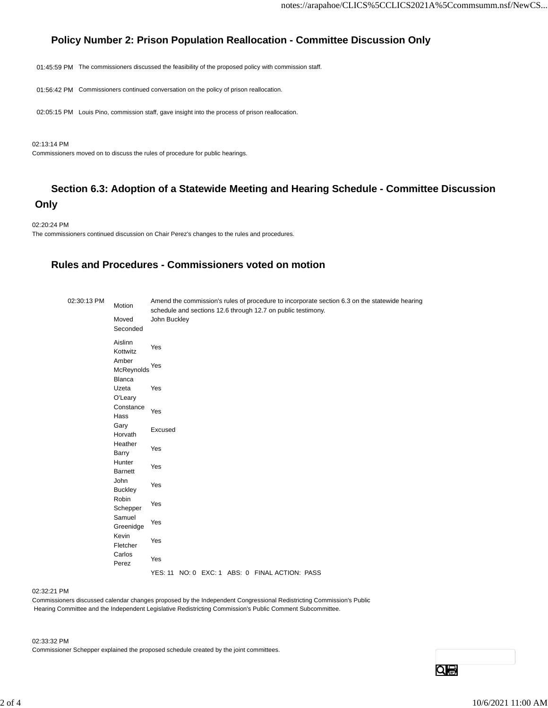# **Policy Number 2: Prison Population Reallocation - Committee Discussion Only**

01:45:59 PM The commissioners discussed the feasibility of the proposed policy with commission staff.

01:56:42 PM Commissioners continued conversation on the policy of prison reallocation.

02:05:15 PM Louis Pino, commission staff, gave insight into the process of prison reallocation.

02:13:14 PM

Commissioners moved on to discuss the rules of procedure for public hearings.

# **Section 6.3: Adoption of a Statewide Meeting and Hearing Schedule - Committee Discussion Only**

02:20:24 PM The commissioners continued discussion on Chair Perez's changes to the rules and procedures.

## **Rules and Procedures - Commissioners voted on motion**

| 02:30:13 PM | Motion                        | Amend the commission's rules of procedure to incorporate section 6.3 on the statewide hearing<br>schedule and sections 12.6 through 12.7 on public testimony. |
|-------------|-------------------------------|---------------------------------------------------------------------------------------------------------------------------------------------------------------|
|             | Moved<br>Seconded             | John Buckley                                                                                                                                                  |
|             | Aislinn<br>Kottwitz           | Yes                                                                                                                                                           |
|             | Amber<br>McReynolds<br>Blanca | Yes                                                                                                                                                           |
|             | Uzeta<br>O'Leary              | Yes                                                                                                                                                           |
|             | Constance<br>Hass             | Yes                                                                                                                                                           |
|             | Gary<br>Horvath               | Excused                                                                                                                                                       |
|             | Heather<br>Barry              | Yes                                                                                                                                                           |
|             | Hunter<br><b>Barnett</b>      | Yes                                                                                                                                                           |
|             | John<br><b>Buckley</b>        | Yes                                                                                                                                                           |
|             | Robin<br>Schepper             | Yes                                                                                                                                                           |
|             | Samuel<br>Greenidge           | Yes                                                                                                                                                           |
|             | Kevin<br>Fletcher             | Yes                                                                                                                                                           |
|             | Carlos<br>Perez               | Yes                                                                                                                                                           |
|             |                               | YES: 11 NO: 0 EXC: 1 ABS: 0 FINAL ACTION: PASS                                                                                                                |

02:32:21 PM

Commissioners discussed calendar changes proposed by the Independent Congressional Redistricting Commission's Public Hearing Committee and the Independent Legislative Redistricting Commission's Public Comment Subcommittee.

02:33:32 PM

Commissioner Schepper explained the proposed schedule created by the joint committees.

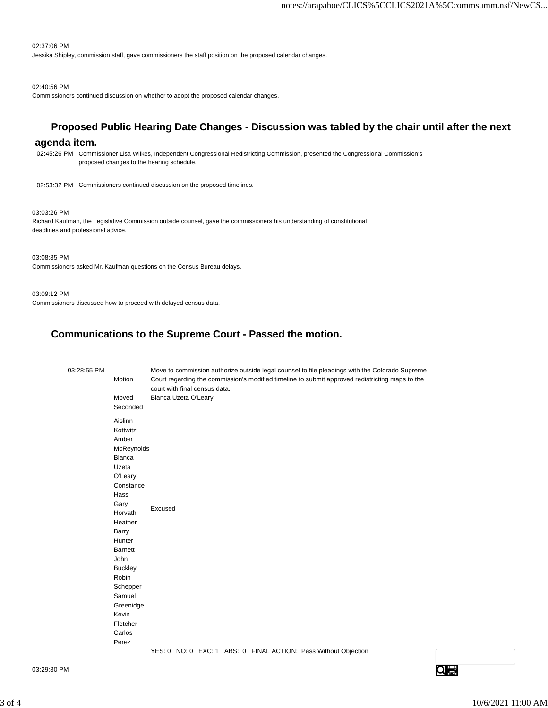#### 02:37:06 PM

Jessika Shipley, commission staff, gave commissioners the staff position on the proposed calendar changes.

#### 02:40:56 PM

Commissioners continued discussion on whether to adopt the proposed calendar changes.

## **Proposed Public Hearing Date Changes - Discussion was tabled by the chair until after the next**

### **agenda item.**

02:45:26 PM Commissioner Lisa Wilkes, Independent Congressional Redistricting Commission, presented the Congressional Commission's proposed changes to the hearing schedule.

02:53:32 PM Commissioners continued discussion on the proposed timelines.

#### 03:03:26 PM

Richard Kaufman, the Legislative Commission outside counsel, gave the commissioners his understanding of constitutional deadlines and professional advice.

03:08:35 PM

Commissioners asked Mr. Kaufman questions on the Census Bureau delays.

#### 03:09:12 PM

Commissioners discussed how to proceed with delayed census data.

## **Communications to the Supreme Court - Passed the motion.**

| 03:28:55 PM | Motion                                                                                                                                                                                                                    | court with final census data. |  |  | Move to commission authorize outside legal counsel to file pleadings with the Colorado Supreme<br>Court regarding the commission's modified timeline to submit approved redistricting maps to the |  |
|-------------|---------------------------------------------------------------------------------------------------------------------------------------------------------------------------------------------------------------------------|-------------------------------|--|--|---------------------------------------------------------------------------------------------------------------------------------------------------------------------------------------------------|--|
|             | Moved<br>Seconded                                                                                                                                                                                                         | Blanca Uzeta O'Leary          |  |  |                                                                                                                                                                                                   |  |
|             | Aislinn<br>Kottwitz<br>Amber<br>McReynolds<br>Blanca<br>Uzeta<br>O'Leary<br>Constance<br>Hass<br>Gary<br>Horvath<br>Heather<br>Barry<br>Hunter<br><b>Barnett</b><br>John<br><b>Buckley</b><br>Robin<br>Schepper<br>Samuel | Excused                       |  |  |                                                                                                                                                                                                   |  |
|             | Greenidge<br>Kevin                                                                                                                                                                                                        |                               |  |  |                                                                                                                                                                                                   |  |
|             | Fletcher<br>Carlos<br>Perez                                                                                                                                                                                               |                               |  |  |                                                                                                                                                                                                   |  |
|             |                                                                                                                                                                                                                           |                               |  |  | YES: 0 NO: 0 EXC: 1 ABS: 0 FINAL ACTION: Pass Without Objection                                                                                                                                   |  |

03:29:30 PM

 $Q \oplus$